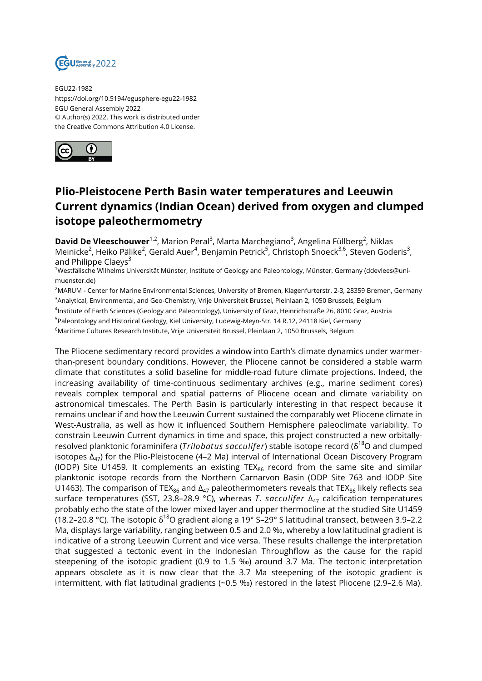

EGU22-1982 https://doi.org/10.5194/egusphere-egu22-1982 EGU General Assembly 2022 © Author(s) 2022. This work is distributed under the Creative Commons Attribution 4.0 License.



## **Plio-Pleistocene Perth Basin water temperatures and Leeuwin Current dynamics (Indian Ocean) derived from oxygen and clumped isotope paleothermometry**

**David De Vleeschouwer**<sup>1,2</sup>, Marion Peral<sup>3</sup>, Marta Marchegiano<sup>3</sup>, Angelina Füllberg<sup>2</sup>, Niklas Meinicke<sup>2</sup>, Heiko Pälike<sup>2</sup>, Gerald Auer<sup>4</sup>, Benjamin Petrick<sup>5</sup>, Christoph Snoeck<sup>3,6</sup>, Steven Goderis<sup>3</sup>, and Philippe Claevs<sup>3</sup>

<sup>1</sup>Westfälische Wilhelms Universität Münster, Institute of Geology and Paleontology, Münster, Germany (ddevlees@unimuenster.de)

<sup>2</sup>MARUM - Center for Marine Environmental Sciences, University of Bremen, Klagenfurterstr. 2-3, 28359 Bremen, Germany <sup>3</sup>Analytical, Environmental, and Geo-Chemistry, Vrije Universiteit Brussel, Pleinlaan 2, 1050 Brussels, Belgium

4 Institute of Earth Sciences (Geology and Paleontology), University of Graz, Heinrichstraße 26, 8010 Graz, Austria

<sup>5</sup>Paleontology and Historical Geology, Kiel University, Ludewig-Meyn-Str. 14 R.12, 24118 Kiel, Germany

<sup>6</sup>Maritime Cultures Research Institute, Vrije Universiteit Brussel, Pleinlaan 2, 1050 Brussels, Belgium

The Pliocene sedimentary record provides a window into Earth's climate dynamics under warmerthan-present boundary conditions. However, the Pliocene cannot be considered a stable warm climate that constitutes a solid baseline for middle-road future climate projections. Indeed, the increasing availability of time-continuous sedimentary archives (e.g., marine sediment cores) reveals complex temporal and spatial patterns of Pliocene ocean and climate variability on astronomical timescales. The Perth Basin is particularly interesting in that respect because it remains unclear if and how the Leeuwin Current sustained the comparably wet Pliocene climate in West-Australia, as well as how it influenced Southern Hemisphere paleoclimate variability. To constrain Leeuwin Current dynamics in time and space, this project constructed a new orbitallyresolved planktonic foraminifera (*Trilobatus sacculifer*) stable isotope record (δ<sup>18</sup>O and clumped isotopes  $\Delta_{47}$ ) for the Plio-Pleistocene (4–2 Ma) interval of International Ocean Discovery Program (IODP) Site U1459. It complements an existing TEX $_{86}$  record from the same site and similar planktonic isotope records from the Northern Carnarvon Basin (ODP Site 763 and IODP Site U1463). The comparison of TEX $_{86}$  and  $\Delta_{47}$  paleothermometers reveals that TEX $_{86}$  likely reflects sea surface temperatures (SST, 23.8-28.9 °C), whereas *T. sacculifer* Δ<sub>47</sub> calcification temperatures probably echo the state of the lower mixed layer and upper thermocline at the studied Site U1459 (18.2–20.8 °C). The isotopic  $\delta^{18}$ O gradient along a 19° S–29° S latitudinal transect, between 3.9–2.2 Ma, displays large variability, ranging between 0.5 and 2.0 ‰, whereby a low latitudinal gradient is indicative of a strong Leeuwin Current and vice versa. These results challenge the interpretation that suggested a tectonic event in the Indonesian Throughflow as the cause for the rapid steepening of the isotopic gradient (0.9 to 1.5 ‰) around 3.7 Ma. The tectonic interpretation appears obsolete as it is now clear that the 3.7 Ma steepening of the isotopic gradient is intermittent, with flat latitudinal gradients (~0.5 ‰) restored in the latest Pliocene (2.9–2.6 Ma).